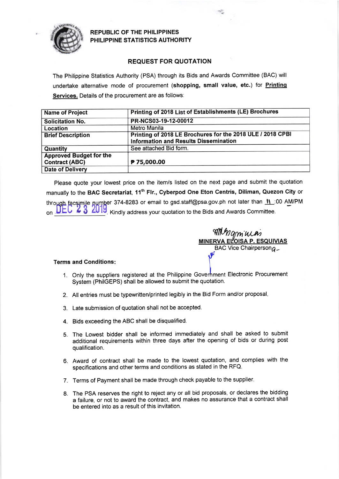

REPUBLIC OF THE PHILIPPINES PHILIPPINE STATISTICS AUTHORITY

## REQUEST FOR QUOTATION

The Philippine Statistics Authority (PSA) through its Bids and Awards Committee (BAC) will undertake alternative mode of procurement (shopping, small value, etc.) for **Printing** Services. Details of the procurement are as follows:

| <b>Name of Project</b>         | Printing of 2018 List of Establishments (LE) Brochures     |  |  |  |  |
|--------------------------------|------------------------------------------------------------|--|--|--|--|
| <b>Solicitation No.</b>        | PR-NCS03-19-12-00012                                       |  |  |  |  |
| Location                       | Metro Manila                                               |  |  |  |  |
| <b>Brief Description</b>       | Printing of 2018 LE Brochures for the 2018 ULE / 2018 CPBI |  |  |  |  |
|                                | <b>Information and Results Dissemination</b>               |  |  |  |  |
| <b>Quantity</b>                | See attached Bid form.                                     |  |  |  |  |
| <b>Approved Budget for the</b> |                                                            |  |  |  |  |
| <b>Contract (ABC)</b>          | P 75,000.00                                                |  |  |  |  |
| <b>Date of Delivery</b>        |                                                            |  |  |  |  |

Please quote your lowest price on the item/s listed on the next page and submit the quotation manually to the BAC Secretariat, 11<sup>th</sup> Flr., Cyberpod One Eton Centris, Diliman, Quezon City or through facsimile number 374-8283 or email to gsd.staff@psa.gov.ph not later than 11:00 AM/PM on  $ULU \times 3$  2019 Kindly address your quotation to the Bids and Awards Committee.

AMMamuas <u>MINERVA ELOISA P. ESQUIVIAS</u> Vice Chairperson $a$ 

## Terms and Conditions

- 1. Only the suppliers registered at the Philippine Goverhment Electronic Procurement System (PhilGEPS) shall be allowed to submit the quotation.
- 2. Atl entries must be typewritten/printed legibly in the Bid Form and/or proposal
- 3. Late submission of quotation shall not be accepted.
- 4. Bids exceeding the ABC shall be disqualified.
- S. The Lowest bidder shall be informed immediately and shall be asked to submit additional requirements within three days after the opening of bids or during post qualification.
- 6. Award of contract shall be made to the lowest quotation, and complies with the specifications and other terms and conditions as stated in the RFQ.
- 7. Terms of Payment shall be made through check payable to the supplier'
- 8. The PSA reserves the right to reject any or all bid proposals, or declares the bidding a failure, or not to award the contract, and makes no assurance that a contract shall be entered into as a result of this invitation.